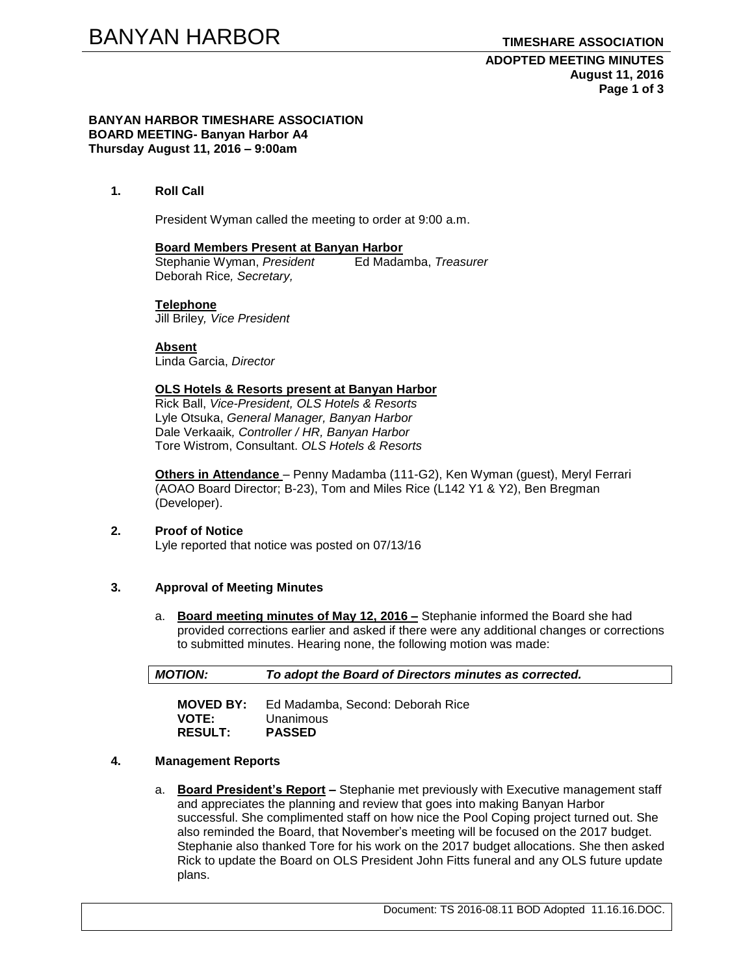**ADOPTED MEETING MINUTES August 11, 2016 Page 1 of 3**

#### **BANYAN HARBOR TIMESHARE ASSOCIATION BOARD MEETING- Banyan Harbor A4 Thursday August 11, 2016 – 9:00am**

### **1. Roll Call**

President Wyman called the meeting to order at 9:00 a.m.

### **Board Members Present at Banyan Harbor**

Stephanie Wyman, *President* Ed Madamba, *Treasurer* Deborah Rice*, Secretary,*

### **Telephone**

Jill Briley*, Vice President*

**Absent** Linda Garcia, *Director*

## **OLS Hotels & Resorts present at Banyan Harbor**

Rick Ball, *Vice-President, OLS Hotels & Resorts* Lyle Otsuka, *General Manager, Banyan Harbor* Dale Verkaaik*, Controller / HR, Banyan Harbor* Tore Wistrom, Consultant. *OLS Hotels & Resorts*

**Others in Attendance** – Penny Madamba (111-G2), Ken Wyman (guest), Meryl Ferrari (AOAO Board Director; B-23), Tom and Miles Rice (L142 Y1 & Y2), Ben Bregman (Developer).

# **2. Proof of Notice**

Lyle reported that notice was posted on 07/13/16

# **3. Approval of Meeting Minutes**

a. **Board meeting minutes of May 12, 2016 –** Stephanie informed the Board she had provided corrections earlier and asked if there were any additional changes or corrections to submitted minutes. Hearing none, the following motion was made:

*MOTION: To adopt the Board of Directors minutes as corrected.* 

| <b>MOVED BY:</b> | Ed Madamba, Second: Deborah Rice |
|------------------|----------------------------------|
| <b>VOTE:</b>     | Unanimous                        |
| <b>RESULT:</b>   | <b>PASSED</b>                    |

### **4. Management Reports**

a. **Board President's Report –** Stephanie met previously with Executive management staff and appreciates the planning and review that goes into making Banyan Harbor successful. She complimented staff on how nice the Pool Coping project turned out. She also reminded the Board, that November's meeting will be focused on the 2017 budget. Stephanie also thanked Tore for his work on the 2017 budget allocations. She then asked Rick to update the Board on OLS President John Fitts funeral and any OLS future update plans.

Document: TS 2016-08.11 BOD Adopted 11.16.16.DOC.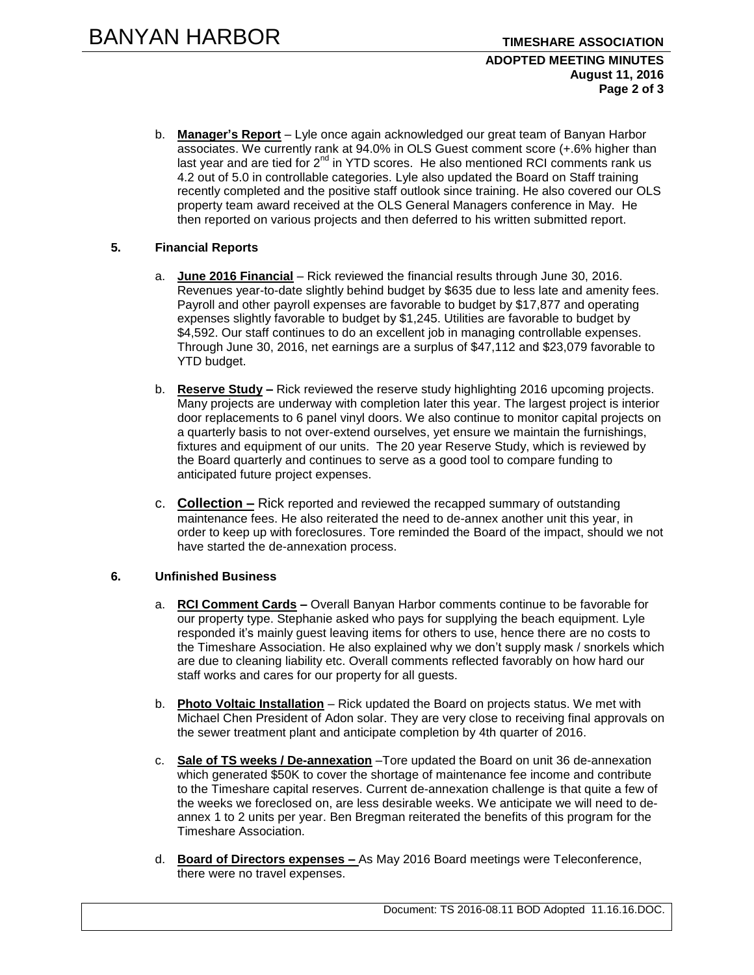### **ADOPTED MEETING MINUTES August 11, 2016 Page 2 of 3**

b. **Manager's Report** – Lyle once again acknowledged our great team of Banyan Harbor associates. We currently rank at 94.0% in OLS Guest comment score (+.6% higher than last year and are tied for  $2^{nd}$  in YTD scores. He also mentioned RCI comments rank us 4.2 out of 5.0 in controllable categories. Lyle also updated the Board on Staff training recently completed and the positive staff outlook since training. He also covered our OLS property team award received at the OLS General Managers conference in May. He then reported on various projects and then deferred to his written submitted report.

# **5. Financial Reports**

- a. **June 2016 Financial** Rick reviewed the financial results through June 30, 2016. Revenues year-to-date slightly behind budget by \$635 due to less late and amenity fees. Payroll and other payroll expenses are favorable to budget by \$17,877 and operating expenses slightly favorable to budget by \$1,245. Utilities are favorable to budget by \$4,592. Our staff continues to do an excellent job in managing controllable expenses. Through June 30, 2016, net earnings are a surplus of \$47,112 and \$23,079 favorable to YTD budget.
- b. **Reserve Study –** Rick reviewed the reserve study highlighting 2016 upcoming projects. Many projects are underway with completion later this year. The largest project is interior door replacements to 6 panel vinyl doors. We also continue to monitor capital projects on a quarterly basis to not over-extend ourselves, yet ensure we maintain the furnishings, fixtures and equipment of our units. The 20 year Reserve Study, which is reviewed by the Board quarterly and continues to serve as a good tool to compare funding to anticipated future project expenses.
- c. **Collection –** Rick reported and reviewed the recapped summary of outstanding maintenance fees. He also reiterated the need to de-annex another unit this year, in order to keep up with foreclosures. Tore reminded the Board of the impact, should we not have started the de-annexation process.

# **6. Unfinished Business**

- a. **RCI Comment Cards –** Overall Banyan Harbor comments continue to be favorable for our property type. Stephanie asked who pays for supplying the beach equipment. Lyle responded it's mainly guest leaving items for others to use, hence there are no costs to the Timeshare Association. He also explained why we don't supply mask / snorkels which are due to cleaning liability etc. Overall comments reflected favorably on how hard our staff works and cares for our property for all guests.
- b. **Photo Voltaic Installation** Rick updated the Board on projects status. We met with Michael Chen President of Adon solar. They are very close to receiving final approvals on the sewer treatment plant and anticipate completion by 4th quarter of 2016.
- c. **Sale of TS weeks / De-annexation** –Tore updated the Board on unit 36 de-annexation which generated \$50K to cover the shortage of maintenance fee income and contribute to the Timeshare capital reserves. Current de-annexation challenge is that quite a few of the weeks we foreclosed on, are less desirable weeks. We anticipate we will need to deannex 1 to 2 units per year. Ben Bregman reiterated the benefits of this program for the Timeshare Association.
- d. **Board of Directors expenses –** As May 2016 Board meetings were Teleconference, there were no travel expenses.

Document: TS 2016-08.11 BOD Adopted 11.16.16.DOC.